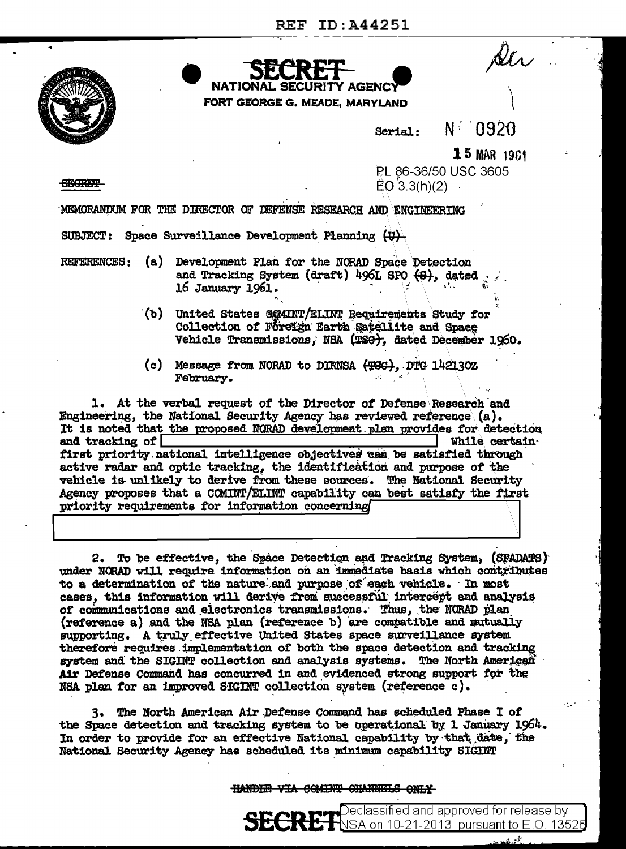FORT GEORGE G. MEADE, MARYLAND



Serial:

N 0920

 $15$  MAR 1961

**TECRETA** 

PL 86-36/50 USC 3605  $EO(3.3(h)(2)$ 

MEMORANDUM FOR THE DIRECTOR OF DEFENSE RESEARCH AND ENGINEERING

SUBJECT: Space Surveillance Development Planning (U)

**NATIONAL** 

- **REFERENCES:** (a) Development Plan for the NORAD Space Detection and Tracking System (draft) 496L SPO (S), dated 16 January 1961.
	- (b) United States COMINT/ELINT Requirements Study for Collection of Foreign Earth Satellite and Space Vehicle Transmissions, NSA (TSG), dated December 1960.
	- (c) Message from NORAD to DIRNSA (TSG), DTG 142130Z February.

1. At the verbal request of the Director of Defense Research and Engineering, the National Security Agency has reviewed reference  $(a)$ . It is noted that the proposed NORAD development plan provides for detection and tracking of While certainfirst priority national intelligence objectives can be satisfied through active radar and optic tracking, the identification and purpose of the vehicle is unlikely to derive from these sources. The National Security Agency proposes that a COMINT/ELINT capability can best satisfy the first priority requirements for information concerning

To be effective, the Space Detection and Tracking System, (SPADATS) 2. under NORAD will require information on an immediate basis which contributes to a determination of the nature and purpose of each vehicle. In most cases, this information will derive from successful intercept and analysis of communications and electronics transmissions. Thus, the NORAD plan (reference a) and the NSA plan (reference b) are compatible and mutually supporting. A truly effective United States space surveillance system therefore requires implementation of both the space detection and tracking system and the SIGINT collection and analysis systems. The North American Air Defense Command has concurred in and evidenced strong support for the NSA plan for an improved SIGINT collection system (reference c).

3. The North American Air Defense Command has scheduled Phase I of the Space detection and tracking system to be operational by 1 January 1964. In order to provide for an effective National capability by that date, the National Security Agency has scheduled its minimum capability SIGINT

## HANDIE VIA COMINT CHANNELS ONLY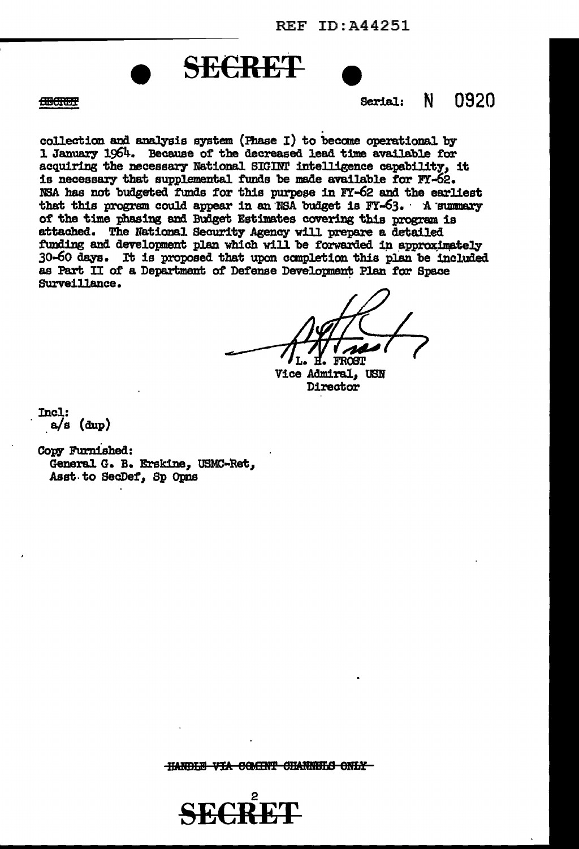



Serial:  $N$  0920

**CHOCKERP** 

collection and analysis system (Phase I) to become operational by 1 January 1964. Because of the decreased lead time available for acquiring the necessary National SIGINT intelligence capability, it is necessary that supplemental funds be made available for FY-62. NSA has not budgeted funds for this purpose in FY-62 and the earliest that this program could appear in an NSA budget is FY-63. A summary of the time phasing and Budget Estimates covering this program is attached. The National Security Agency will prepare a detailed funding and development plan which will be forwarded in approximately 30-60 days. It is proposed that upon completion this plan be included as Part II of a Department of Defense Development Plan for Space Surveillance.

**TROGTI** 

**Vice Admiral. USN** Director

Incl:  $a/s$  (dup)

Copy Furnished: General G. B. Erskine, USMC-Ret, Asst to SecDef, Sp Opns

HANDLE VIA COMINT CHANNELS ONLY-

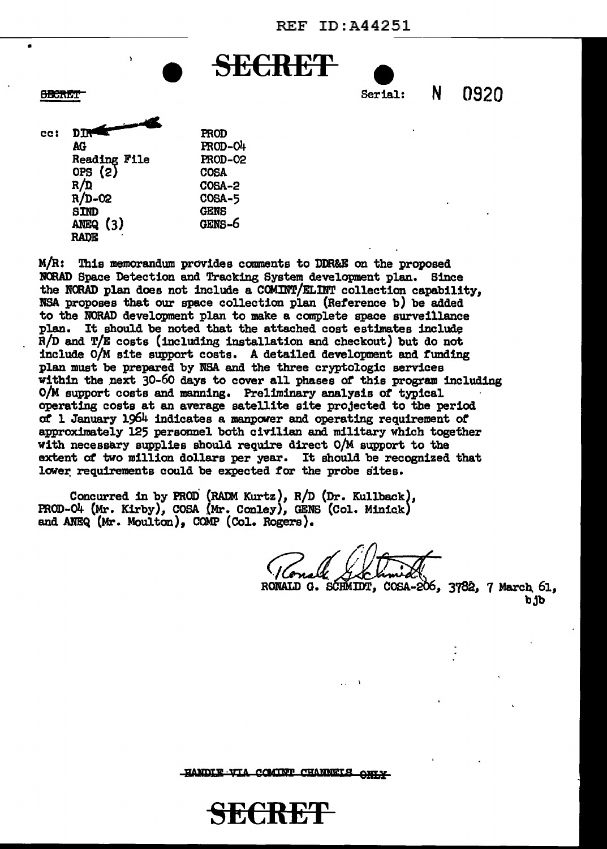SE<del>CRET</del>



 $cc:$  DTR Intervalse  $\blacksquare$ AG Reading File OPS (2) R/D R/D-02 snm ANEQ (3) RADE PROD PROD-04 PROD-02 COSA COSA-2 COSA-5 GENS GENS-6

•

 $M/R:$  This memorandum provides comments to DDR&E on the proposed NORAD Space Detection and Tracking System development plan. Since the NORAD plan does not include a COMINT/ELINT collection capability. NSA proposes that our space collection plan (Reference b) be added to the NORAD development plan to make a complete spaae surveillance plan. It should be noted that the attached cost estimates include R/D and T/E costs (including installation and checkout) but do not include O/M site support costs. A detailed development and funding plan must be prepared by NBA and the three cryptologic services within the next 30-60 days to cover all phases of this program including O/M support costs and manning. Preliminary analysis of typical operating costs at an average satellite site projected to the period *at* 1 January 1964 indicates a ma.npOW'er and operating requirement *ot*  approximately 125 personnel both civilian and military which together with necessary supplies should require direct O/M support to the extent *at* two million dollars per year. It should be recognized that lower requirements could be expected for the probe sites.

Concurred in by PROD (RADM Kurtz), R/D (Dr. Kullback), PROD-04 (Mr. Kirby), COSA (Mr. Conley), GENS (Col. Minick) and ANEQ (Mr. Moulton), COMP (Col. Rogers).

• • I

RONALD G. SCHMIDT, COSA-206, 3782, 7 March 61, b.ib

HANDIE VIA COMINT CHANNELS ONLY

<del>C:K:</del>